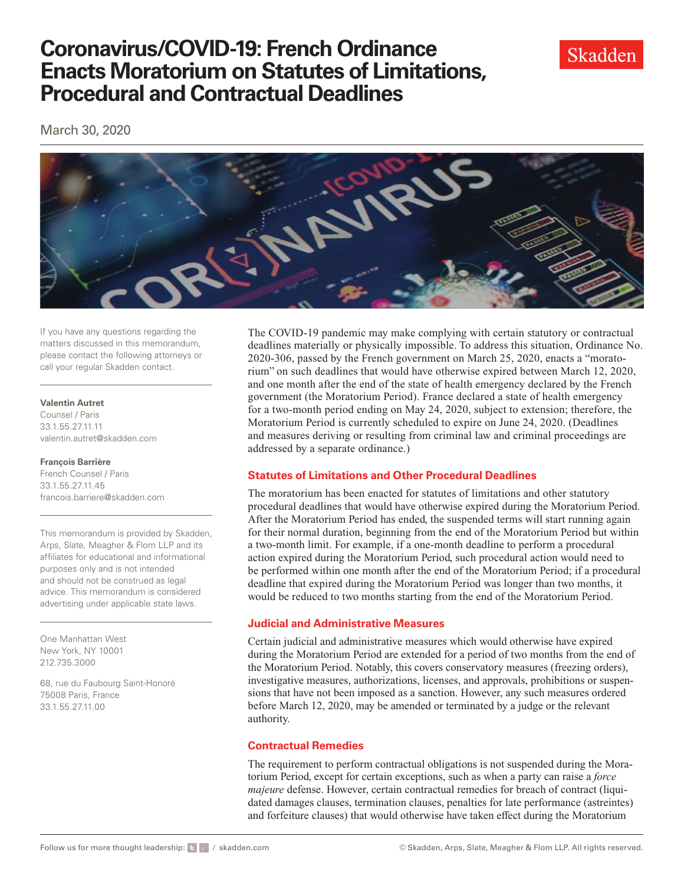# **Coronavirus/COVID-19: French Ordinance Enacts Moratorium on Statutes of Limitations, Procedural and Contractual Deadlines**

March 30, 2020



If you have any questions regarding the matters discussed in this memorandum, please contact the following attorneys or call your regular Skadden contact.

#### **Valentin Autret**

Counsel / Paris 33.1.55.27.11.11 [valentin.autret@skadden.com](mailto:valentin.autret@skadden.com)

#### **François Barrière**

French Counsel / Paris 33.1.55.27.11.45 [francois.barriere@skadden.com](mailto:francois.barriere@skadden.com)

This memorandum is provided by Skadden, Arps, Slate, Meagher & Flom LLP and its affiliates for educational and informational purposes only and is not intended and should not be construed as legal advice. This memorandum is considered advertising under applicable state laws.

One Manhattan West New York, NY 10001 212.735.3000

68, rue du Faubourg Saint-Honoré 75008 Paris, France 33.1.55.27.11.00

The COVID-19 pandemic may make complying with certain statutory or contractual deadlines materially or physically impossible. To address this situation, Ordinance No. 2020-306, passed by the French government on March 25, 2020, enacts a "moratorium" on such deadlines that would have otherwise expired between March 12, 2020, and one month after the end of the state of health emergency declared by the French government (the Moratorium Period). France declared a state of health emergency for a two-month period ending on May 24, 2020, subject to extension; therefore, the Moratorium Period is currently scheduled to expire on June 24, 2020. (Deadlines and measures deriving or resulting from criminal law and criminal proceedings are addressed by a separate ordinance.)

## **Statutes of Limitations and Other Procedural Deadlines**

The moratorium has been enacted for statutes of limitations and other statutory procedural deadlines that would have otherwise expired during the Moratorium Period. After the Moratorium Period has ended, the suspended terms will start running again for their normal duration, beginning from the end of the Moratorium Period but within a two-month limit. For example, if a one-month deadline to perform a procedural action expired during the Moratorium Period, such procedural action would need to be performed within one month after the end of the Moratorium Period; if a procedural deadline that expired during the Moratorium Period was longer than two months, it would be reduced to two months starting from the end of the Moratorium Period.

## **Judicial and Administrative Measures**

Certain judicial and administrative measures which would otherwise have expired during the Moratorium Period are extended for a period of two months from the end of the Moratorium Period. Notably, this covers conservatory measures (freezing orders), investigative measures, authorizations, licenses, and approvals, prohibitions or suspensions that have not been imposed as a sanction. However, any such measures ordered before March 12, 2020, may be amended or terminated by a judge or the relevant authority.

## **Contractual Remedies**

The requirement to perform contractual obligations is not suspended during the Moratorium Period, except for certain exceptions, such as when a party can raise a *force majeure* defense. However, certain contractual remedies for breach of contract (liquidated damages clauses, termination clauses, penalties for late performance (astreintes) and forfeiture clauses) that would otherwise have taken efect during the Moratorium